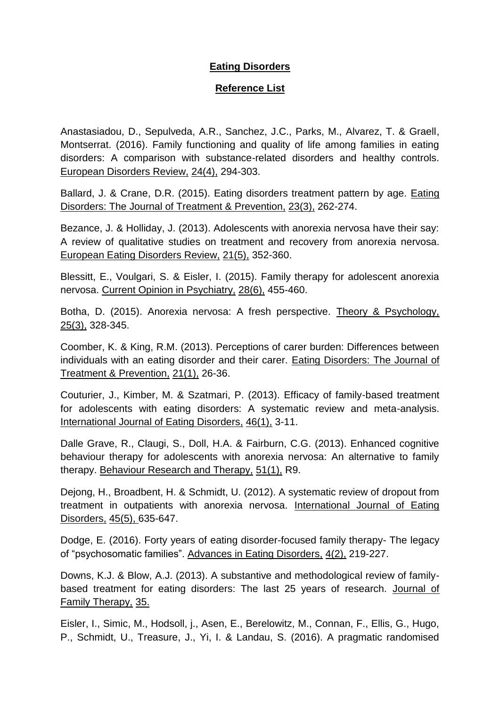## **Eating Disorders**

## **Reference List**

Anastasiadou, D., Sepulveda, A.R., Sanchez, J.C., Parks, M., Alvarez, T. & Graell, Montserrat. (2016). Family functioning and quality of life among families in eating disorders: A comparison with substance-related disorders and healthy controls. European Disorders Review, 24(4), 294-303.

Ballard, J. & Crane, D.R. (2015). Eating disorders treatment pattern by age. Eating Disorders: The Journal of Treatment & Prevention, 23(3), 262-274.

Bezance, J. & Holliday, J. (2013). Adolescents with anorexia nervosa have their say: A review of qualitative studies on treatment and recovery from anorexia nervosa. European Eating Disorders Review, 21(5), 352-360.

Blessitt, E., Voulgari, S. & Eisler, I. (2015). Family therapy for adolescent anorexia nervosa. Current Opinion in Psychiatry, 28(6), 455-460.

Botha, D. (2015). Anorexia nervosa: A fresh perspective. Theory & Psychology, 25(3), 328-345.

Coomber, K. & King, R.M. (2013). Perceptions of carer burden: Differences between individuals with an eating disorder and their carer. Eating Disorders: The Journal of Treatment & Prevention, 21(1), 26-36.

Couturier, J., Kimber, M. & Szatmari, P. (2013). Efficacy of family-based treatment for adolescents with eating disorders: A systematic review and meta-analysis. International Journal of Eating Disorders, 46(1), 3-11.

Dalle Grave, R., Claugi, S., Doll, H.A. & Fairburn, C.G. (2013). Enhanced cognitive behaviour therapy for adolescents with anorexia nervosa: An alternative to family therapy. Behaviour Research and Therapy, 51(1), R9.

Dejong, H., Broadbent, H. & Schmidt, U. (2012). A systematic review of dropout from treatment in outpatients with anorexia nervosa. International Journal of Eating Disorders, 45(5), 635-647.

Dodge, E. (2016). Forty years of eating disorder-focused family therapy- The legacy of "psychosomatic families". Advances in Eating Disorders, 4(2), 219-227.

Downs, K.J. & Blow, A.J. (2013). A substantive and methodological review of familybased treatment for eating disorders: The last 25 years of research. Journal of Family Therapy, 35.

Eisler, I., Simic, M., Hodsoll, j., Asen, E., Berelowitz, M., Connan, F., Ellis, G., Hugo, P., Schmidt, U., Treasure, J., Yi, I. & Landau, S. (2016). A pragmatic randomised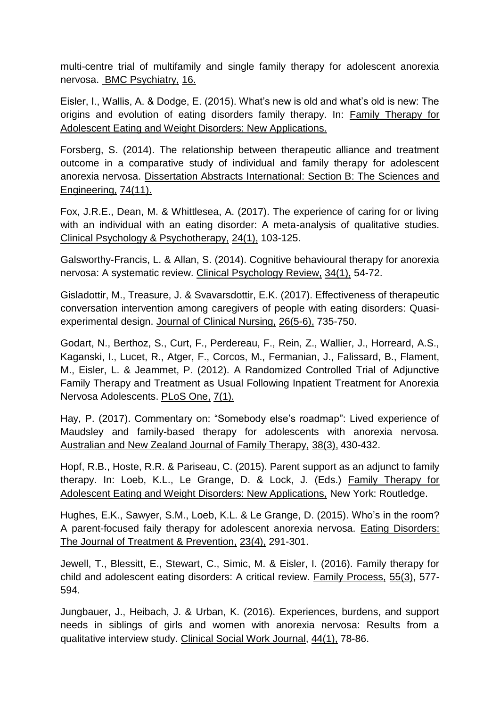multi-centre trial of multifamily and single family therapy for adolescent anorexia nervosa. BMC Psychiatry, 16.

Eisler, I., Wallis, A. & Dodge, E. (2015). What's new is old and what's old is new: The origins and evolution of eating disorders family therapy. In: Family Therapy for Adolescent Eating and Weight Disorders: New Applications.

Forsberg, S. (2014). The relationship between therapeutic alliance and treatment outcome in a comparative study of individual and family therapy for adolescent anorexia nervosa. Dissertation Abstracts International: Section B: The Sciences and Engineering, 74(11).

Fox, J.R.E., Dean, M. & Whittlesea, A. (2017). The experience of caring for or living with an individual with an eating disorder: A meta-analysis of qualitative studies. Clinical Psychology & Psychotherapy, 24(1), 103-125.

Galsworthy-Francis, L. & Allan, S. (2014). Cognitive behavioural therapy for anorexia nervosa: A systematic review. Clinical Psychology Review, 34(1), 54-72.

Gisladottir, M., Treasure, J. & Svavarsdottir, E.K. (2017). Effectiveness of therapeutic conversation intervention among caregivers of people with eating disorders: Quasiexperimental design. Journal of Clinical Nursing, 26(5-6), 735-750.

Godart, N., Berthoz, S., Curt, F., Perdereau, F., Rein, Z., Wallier, J., Horreard, A.S., Kaganski, I., Lucet, R., Atger, F., Corcos, M., Fermanian, J., Falissard, B., Flament, M., Eisler, L. & Jeammet, P. (2012). A Randomized Controlled Trial of Adjunctive Family Therapy and Treatment as Usual Following Inpatient Treatment for Anorexia Nervosa Adolescents. PLoS One, 7(1).

Hay, P. (2017). Commentary on: "Somebody else's roadmap": Lived experience of Maudsley and family-based therapy for adolescents with anorexia nervosa. Australian and New Zealand Journal of Family Therapy, 38(3), 430-432.

Hopf, R.B., Hoste, R.R. & Pariseau, C. (2015). Parent support as an adjunct to family therapy. In: Loeb, K.L., Le Grange, D. & Lock, J. (Eds.) Family Therapy for Adolescent Eating and Weight Disorders: New Applications, New York: Routledge.

Hughes, E.K., Sawyer, S.M., Loeb, K.L. & Le Grange, D. (2015). Who's in the room? A parent-focused faily therapy for adolescent anorexia nervosa. Eating Disorders: The Journal of Treatment & Prevention, 23(4), 291-301.

Jewell, T., Blessitt, E., Stewart, C., Simic, M. & Eisler, I. (2016). Family therapy for child and adolescent eating disorders: A critical review. Family Process, 55(3), 577- 594.

Jungbauer, J., Heibach, J. & Urban, K. (2016). Experiences, burdens, and support needs in siblings of girls and women with anorexia nervosa: Results from a qualitative interview study. Clinical Social Work Journal, 44(1), 78-86.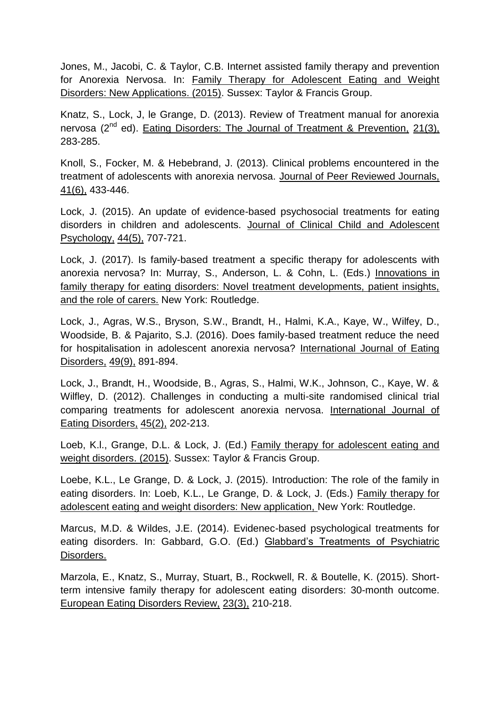Jones, M., Jacobi, C. & Taylor, C.B. Internet assisted family therapy and prevention for Anorexia Nervosa. In: Family Therapy for Adolescent Eating and Weight Disorders: New Applications. (2015). Sussex: Taylor & Francis Group.

Knatz, S., Lock, J, le Grange, D. (2013). Review of Treatment manual for anorexia nervosa  $(2^{nd}$  ed). Eating Disorders: The Journal of Treatment & Prevention, 21(3), 283-285.

Knoll, S., Focker, M. & Hebebrand, J. (2013). Clinical problems encountered in the treatment of adolescents with anorexia nervosa. Journal of Peer Reviewed Journals, 41(6), 433-446.

Lock, J. (2015). An update of evidence-based psychosocial treatments for eating disorders in children and adolescents. Journal of Clinical Child and Adolescent Psychology, 44(5), 707-721.

Lock, J. (2017). Is family-based treatment a specific therapy for adolescents with anorexia nervosa? In: Murray, S., Anderson, L. & Cohn, L. (Eds.) Innovations in family therapy for eating disorders: Novel treatment developments, patient insights, and the role of carers. New York: Routledge.

Lock, J., Agras, W.S., Bryson, S.W., Brandt, H., Halmi, K.A., Kaye, W., Wilfey, D., Woodside, B. & Pajarito, S.J. (2016). Does family-based treatment reduce the need for hospitalisation in adolescent anorexia nervosa? International Journal of Eating Disorders, 49(9), 891-894.

Lock, J., Brandt, H., Woodside, B., Agras, S., Halmi, W.K., Johnson, C., Kaye, W. & Wilfley, D. (2012). Challenges in conducting a multi-site randomised clinical trial comparing treatments for adolescent anorexia nervosa. International Journal of Eating Disorders, 45(2), 202-213.

Loeb, K.l., Grange, D.L. & Lock, J. (Ed.) Family therapy for adolescent eating and weight disorders. (2015). Sussex: Taylor & Francis Group.

Loebe, K.L., Le Grange, D. & Lock, J. (2015). Introduction: The role of the family in eating disorders. In: Loeb, K.L., Le Grange, D. & Lock, J. (Eds.) Family therapy for adolescent eating and weight disorders: New application, New York: Routledge.

Marcus, M.D. & Wildes, J.E. (2014). Evidenec-based psychological treatments for eating disorders. In: Gabbard, G.O. (Ed.) Glabbard's Treatments of Psychiatric Disorders.

Marzola, E., Knatz, S., Murray, Stuart, B., Rockwell, R. & Boutelle, K. (2015). Shortterm intensive family therapy for adolescent eating disorders: 30-month outcome. European Eating Disorders Review, 23(3), 210-218.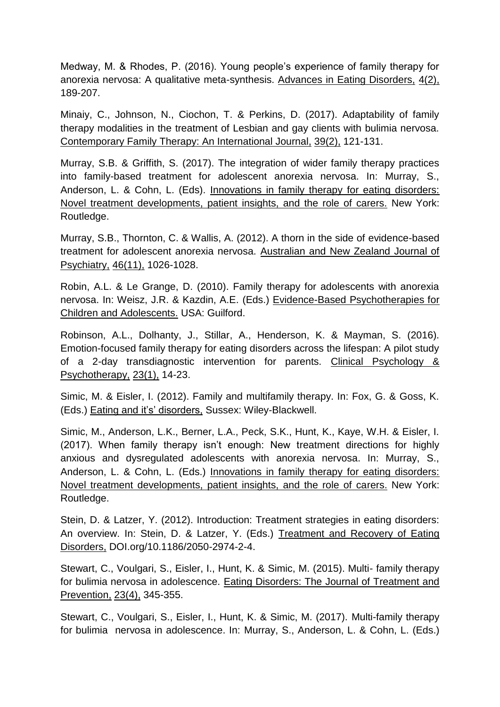Medway, M. & Rhodes, P. (2016). Young people's experience of family therapy for anorexia nervosa: A qualitative meta-synthesis. Advances in Eating Disorders, 4(2), 189-207.

Minaiy, C., Johnson, N., Ciochon, T. & Perkins, D. (2017). Adaptability of family therapy modalities in the treatment of Lesbian and gay clients with bulimia nervosa. Contemporary Family Therapy: An International Journal, 39(2), 121-131.

Murray, S.B. & Griffith, S. (2017). The integration of wider family therapy practices into family-based treatment for adolescent anorexia nervosa. In: Murray, S., Anderson, L. & Cohn, L. (Eds). Innovations in family therapy for eating disorders: Novel treatment developments, patient insights, and the role of carers. New York: Routledge.

Murray, S.B., Thornton, C. & Wallis, A. (2012). A thorn in the side of evidence-based treatment for adolescent anorexia nervosa. Australian and New Zealand Journal of Psychiatry, 46(11), 1026-1028.

Robin, A.L. & Le Grange, D. (2010). Family therapy for adolescents with anorexia nervosa. In: Weisz, J.R. & Kazdin, A.E. (Eds.) Evidence-Based Psychotherapies for Children and Adolescents. USA: Guilford.

Robinson, A.L., Dolhanty, J., Stillar, A., Henderson, K. & Mayman, S. (2016). Emotion-focused family therapy for eating disorders across the lifespan: A pilot study of a 2-day transdiagnostic intervention for parents. Clinical Psychology & Psychotherapy, 23(1), 14-23.

Simic, M. & Eisler, I. (2012). Family and multifamily therapy. In: Fox, G. & Goss, K. (Eds.) Eating and it's' disorders, Sussex: Wiley-Blackwell.

Simic, M., Anderson, L.K., Berner, L.A., Peck, S.K., Hunt, K., Kaye, W.H. & Eisler, I. (2017). When family therapy isn't enough: New treatment directions for highly anxious and dysregulated adolescents with anorexia nervosa. In: Murray, S., Anderson, L. & Cohn, L. (Eds.) Innovations in family therapy for eating disorders: Novel treatment developments, patient insights, and the role of carers. New York: Routledge.

Stein, D. & Latzer, Y. (2012). Introduction: Treatment strategies in eating disorders: An overview. In: Stein, D. & Latzer, Y. (Eds.) Treatment and Recovery of Eating Disorders, DOI.org/10.1186/2050-2974-2-4.

Stewart, C., Voulgari, S., Eisler, I., Hunt, K. & Simic, M. (2015). Multi- family therapy for bulimia nervosa in adolescence. Eating Disorders: The Journal of Treatment and Prevention, 23(4), 345-355.

Stewart, C., Voulgari, S., Eisler, I., Hunt, K. & Simic, M. (2017). Multi-family therapy for bulimia nervosa in adolescence. In: Murray, S., Anderson, L. & Cohn, L. (Eds.)